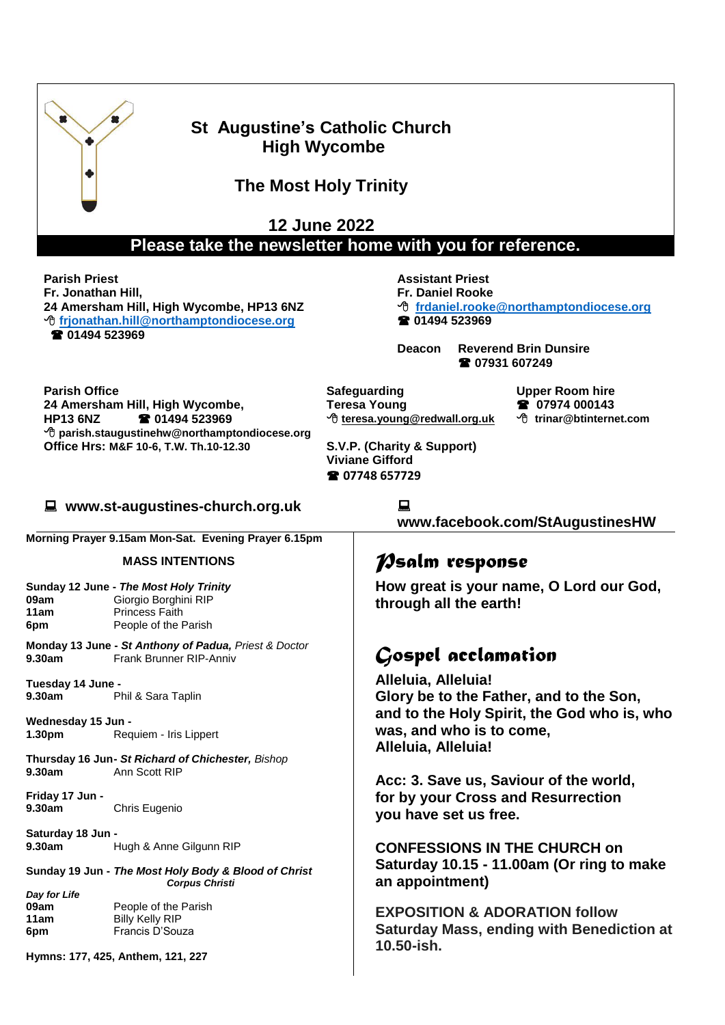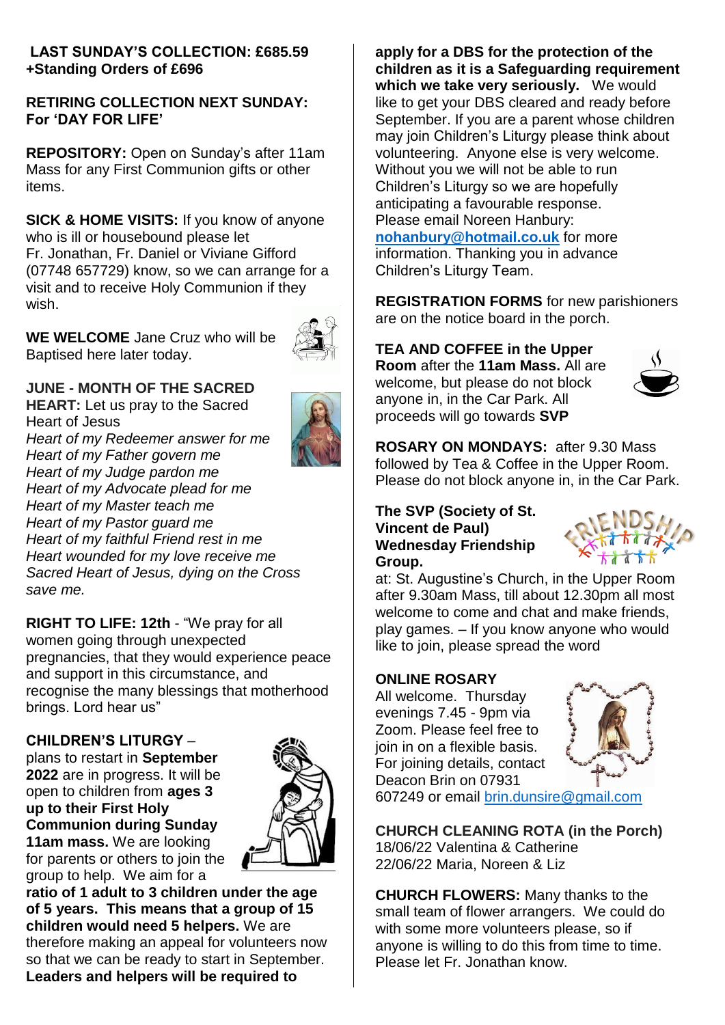#### **LAST SUNDAY'S COLLECTION: £685.59 +Standing Orders of £696**

#### **RETIRING COLLECTION NEXT SUNDAY: For 'DAY FOR LIFE'**

**REPOSITORY:** Open on Sunday's after 11am Mass for any First Communion gifts or other items.

**SICK & HOME VISITS:** If you know of anyone who is ill or housebound please let Fr. Jonathan, Fr. Daniel or Viviane Gifford (07748 657729) know, so we can arrange for a visit and to receive Holy Communion if they wish.

**WE WELCOME** Jane Cruz who will be Baptised here later today.



## **JUNE - MONTH OF THE SACRED**

**HEART:** Let us pray to the Sacred Heart of Jesus *Heart of my Redeemer answer for me Heart of my Father govern me Heart of my Judge pardon me Heart of my Advocate plead for me Heart of my Master teach me Heart of my Pastor guard me Heart of my faithful Friend rest in me Heart wounded for my love receive me Sacred Heart of Jesus, dying on the Cross save me.*

**RIGHT TO LIFE: 12th** - "We pray for all women going through unexpected pregnancies, that they would experience peace and support in this circumstance, and recognise the many blessings that motherhood brings. Lord hear us"

#### **CHILDREN'S LITURGY** –

plans to restart in **September 2022** are in progress. It will be open to children from **ages 3 up to their First Holy Communion during Sunday 11am mass.** We are looking for parents or others to join the group to help. We aim for a



**ratio of 1 adult to 3 children under the age of 5 years. This means that a group of 15 children would need 5 helpers.** We are therefore making an appeal for volunteers now so that we can be ready to start in September. **Leaders and helpers will be required to** 

**apply for a DBS for the protection of the children as it is a Safeguarding requirement which we take very seriously.** We would like to get your DBS cleared and ready before September. If you are a parent whose children may join Children's Liturgy please think about volunteering. Anyone else is very welcome. Without you we will not be able to run Children's Liturgy so we are hopefully anticipating a favourable response. Please email Noreen Hanbury: **[nohanbury@hotmail.co.uk](mailto:nohanbury@hotmail.co.uk)** for more information. Thanking you in advance Children's Liturgy Team.

**REGISTRATION FORMS** for new parishioners are on the notice board in the porch.

# **TEA AND COFFEE in the Upper**

**Room** after the **11am Mass.** All are welcome, but please do not block anyone in, in the Car Park. All proceeds will go towards **SVP**



**ROSARY ON MONDAYS:** after 9.30 Mass followed by Tea & Coffee in the Upper Room. Please do not block anyone in, in the Car Park.

#### **The SVP (Society of St. Vincent de Paul) Wednesday Friendship Group.**



at: St. Augustine's Church, in the Upper Room after 9.30am Mass, till about 12.30pm all most welcome to come and chat and make friends, play games. – If you know anyone who would like to join, please spread the word

#### **ONLINE ROSARY**

All welcome. Thursday evenings 7.45 - 9pm via Zoom. Please feel free to join in on a flexible basis. For joining details, contact Deacon Brin on 07931



607249 or email [brin.dunsire@gmail.com](mailto:brin.dunsire@gmail.com)

**CHURCH CLEANING ROTA (in the Porch)** 18/06/22 Valentina & Catherine 22/06/22 Maria, Noreen & Liz

**CHURCH FLOWERS:** Many thanks to the small team of flower arrangers. We could do with some more volunteers please, so if anyone is willing to do this from time to time. Please let Fr. Jonathan know.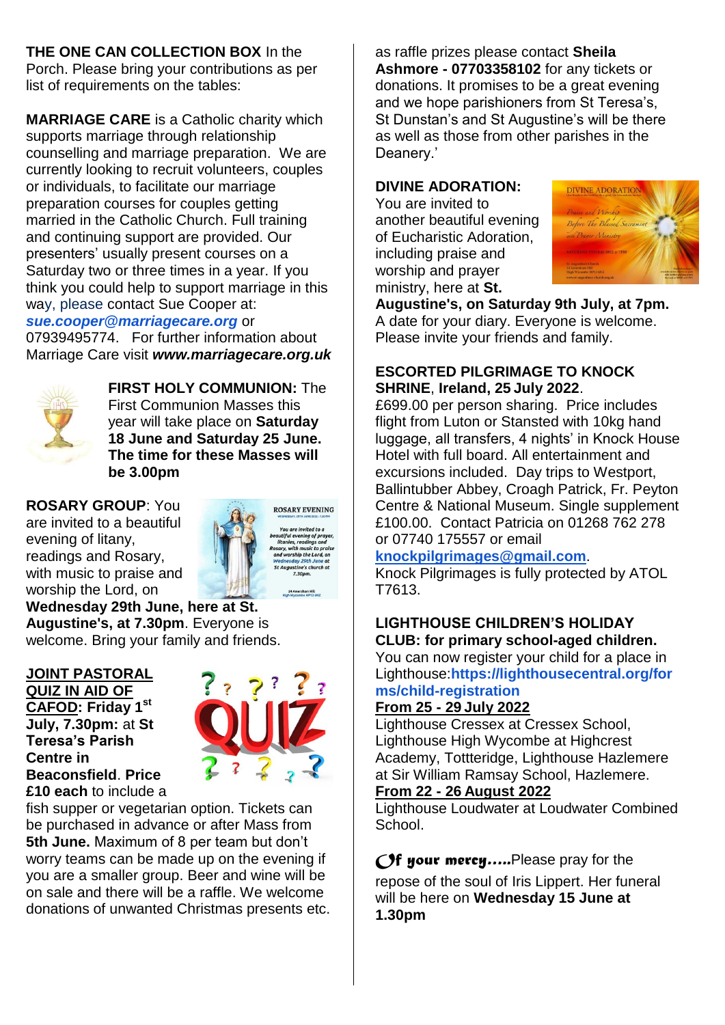**THE ONE CAN COLLECTION BOX** In the Porch. Please bring your contributions as per list of requirements on the tables:

**MARRIAGE CARE** is a Catholic charity which supports marriage through relationship counselling and marriage preparation. We are currently looking to recruit volunteers, couples or individuals, to facilitate our marriage preparation courses for couples getting married in the Catholic Church. Full training and continuing support are provided. Our presenters' usually present courses on a Saturday two or three times in a year. If you think you could help to support marriage in this way, please contact Sue Cooper at:

*[sue.cooper@marriagecare.org](mailto:sue.cooper@marriagecare.org)* or

07939495774. For further information about Marriage Care visit *[www.marriagecare.org.uk](http://www.marriagecare.org.uk/)*



**FIRST HOLY COMMUNION:** The First Communion Masses this year will take place on **Saturday 18 June and Saturday 25 June. The time for these Masses will be 3.00pm**

**ROSARY GROUP**: You are invited to a beautiful evening of litany, readings and Rosary, with music to praise and worship the Lord, on

**ROSARY EVENING** autiful evening of pra<br>litanies, readings and

**Wednesday 29th June, here at St. Augustine's, at 7.30pm**. Everyone is welcome. Bring your family and friends.

#### **JOINT PASTORAL QUIZ IN AID OF CAFOD: Friday 1 st July, 7.30pm:** at **St Teresa's Parish Centre in Beaconsfield**. **Price £10 each** to include a



fish supper or vegetarian option. Tickets can be purchased in advance or after Mass from **5th June.** Maximum of 8 per team but don't worry teams can be made up on the evening if you are a smaller group. Beer and wine will be on sale and there will be a raffle. We welcome donations of unwanted Christmas presents etc. as raffle prizes please contact **Sheila Ashmore - 07703358102** for any tickets or donations. It promises to be a great evening and we hope parishioners from St Teresa's, St Dunstan's and St Augustine's will be there as well as those from other parishes in the Deanery.'

## **DIVINE ADORATION:**

You are invited to another beautiful evening of Eucharistic Adoration, including praise and worship and prayer ministry, here at **St.** 



**Augustine's, on Saturday 9th July, at 7pm.** A date for your diary. Everyone is welcome. Please invite your friends and family.

#### **ESCORTED PILGRIMAGE TO KNOCK SHRINE**, **Ireland, 25 July 2022**.

£699.00 per person sharing. Price includes flight from Luton or Stansted with 10kg hand luggage, all transfers, 4 nights' in Knock House Hotel with full board. All entertainment and excursions included. Day trips to Westport, Ballintubber Abbey, Croagh Patrick, Fr. Peyton Centre & National Museum. Single supplement £100.00. Contact Patricia on 01268 762 278 or 07740 175557 or email

#### **[knockpilgrimages@gmail.com](mailto:patricia@gotrouvaille.com)**.

Knock Pilgrimages is fully protected by ATOL T7613.

#### **LIGHTHOUSE CHILDREN'S HOLIDAY CLUB: for primary school-aged children.**

You can now register your child for a place in Lighthouse:**[https://lighthousecentral.org/for](https://lighthousecentral.org/forms/child-registration) [ms/child-registration](https://lighthousecentral.org/forms/child-registration)**

#### **From 25 - 29 July 2022**

Lighthouse Cressex at Cressex School, Lighthouse High Wycombe at Highcrest Academy, Tottteridge, Lighthouse Hazlemere at Sir William Ramsay School, Hazlemere.

#### **From 22 - 26 August 2022**

Lighthouse Loudwater at Loudwater Combined School.

*Of your mercy…..*Please pray for the repose of the soul of Iris Lippert. Her funeral will be here on **Wednesday 15 June at 1.30pm**